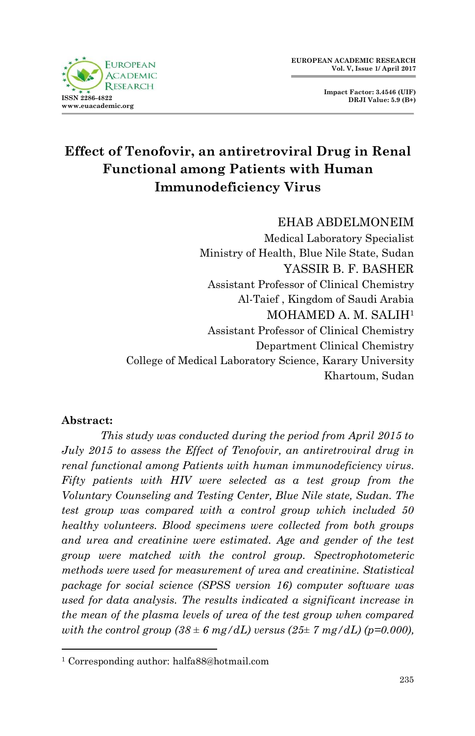



# **Effect of Tenofovir, an antiretroviral Drug in Renal Functional among Patients with Human Immunodeficiency Virus**

#### EHAB ABDELMONEIM

Medical Laboratory Specialist Ministry of Health, Blue Nile State, Sudan YASSIR B. F. BASHER Assistant Professor of Clinical Chemistry Al-Taief , Kingdom of Saudi Arabia MOHAMED A. M. SALIH<sup>1</sup> Assistant Professor of Clinical Chemistry Department Clinical Chemistry College of Medical Laboratory Science, Karary University Khartoum, Sudan

#### **Abstract:**

1

*This study was conducted during the period from April 2015 to July 2015 to assess the Effect of Tenofovir, an antiretroviral drug in renal functional among Patients with human immunodeficiency virus. Fifty patients with HIV were selected as a test group from the Voluntary Counseling and Testing Center, Blue Nile state, Sudan. The test group was compared with a control group which included 50 healthy volunteers. Blood specimens were collected from both groups and urea and creatinine were estimated. Age and gender of the test group were matched with the control group. Spectrophotometeric methods were used for measurement of urea and creatinine. Statistical package for social science (SPSS version 16) computer software was used for data analysis. The results indicated a significant increase in the mean of the plasma levels of urea of the test group when compared with the control group*  $(38 \pm 6 \text{ mg}/dL)$  versus  $(25 \pm 7 \text{ mg}/dL)$  (p=0.000),

<sup>1</sup> Corresponding author: halfa88@hotmail.com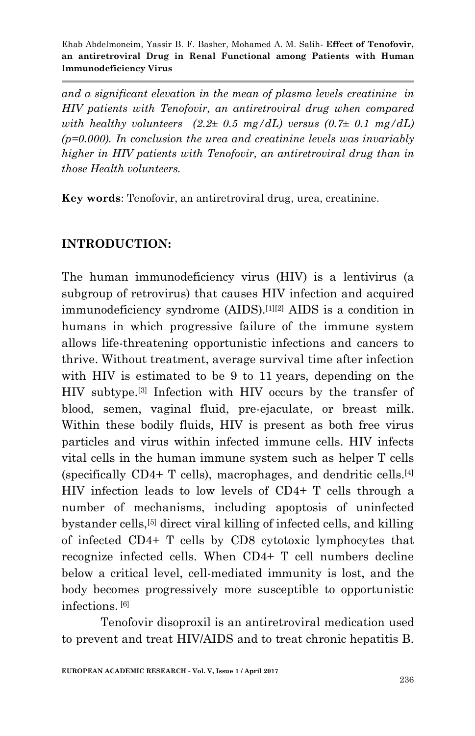*and a significant elevation in the mean of plasma levels creatinine in HIV patients with Tenofovir, an antiretroviral drug when compared with healthy volunteers*  $(2.2 \pm 0.5 \text{ mg}/dL)$  *versus*  $(0.7 \pm 0.1 \text{ mg}/dL)$ *(p=0.000). In conclusion the urea and creatinine levels was invariably higher in HIV patients with Tenofovir, an antiretroviral drug than in those Health volunteers.*

**Key words**: Tenofovir, an antiretroviral drug, urea, creatinine.

### **INTRODUCTION:**

The human immunodeficiency virus (HIV) is a lentivirus (a subgroup of [retrovirus\)](https://en.wikipedia.org/wiki/Retrovirus) that causes [HIV infection](https://en.wikipedia.org/wiki/HIV_infection) and [acquired](https://en.wikipedia.org/wiki/AIDS)  [immunodeficiency syndrome](https://en.wikipedia.org/wiki/AIDS) (AIDS).[\[1\]\[2\]](https://en.wikipedia.org/wiki/HIV#cite_note-pmid8493571-1) AIDS is a condition in humans in which progressive failure of the [immune system](https://en.wikipedia.org/wiki/Immune_system) allows life-threatening [opportunistic infections](https://en.wikipedia.org/wiki/Opportunistic_infection) and [cancers](https://en.wikipedia.org/wiki/Cancer) to thrive. Without treatment, average survival time after infection with HIV is estimated to be 9 to 11 years, depending on the HIV subtype.[\[3\]](https://en.wikipedia.org/wiki/HIV#cite_note-UNAIDS2007-3) Infection with HIV occurs by the transfer of [blood,](https://en.wikipedia.org/wiki/Blood) [semen,](https://en.wikipedia.org/wiki/Semen) [vaginal fluid,](https://en.wikipedia.org/wiki/Vaginal_lubrication) [pre-ejaculate,](https://en.wikipedia.org/wiki/Pre-ejaculate) or [breast milk.](https://en.wikipedia.org/wiki/Breast_milk) Within these bodily fluids, HIV is present as both free virus particles and virus within infected [immune cells.](https://en.wikipedia.org/wiki/White_blood_cell) HIV infects vital cells in the human immune system such as [helper T cells](https://en.wikipedia.org/wiki/Helper_T_cell) (specifically [CD4+](https://en.wikipedia.org/wiki/CD4) T cells), [macrophages,](https://en.wikipedia.org/wiki/Macrophage) and [dendritic cells.](https://en.wikipedia.org/wiki/Dendritic_cell) [\[4\]](https://en.wikipedia.org/wiki/HIV#cite_note-4) HIV infection leads to low levels of [CD4+ T cells](https://en.wikipedia.org/wiki/T_helper_cell) through a number of mechanisms, including [apoptosis](https://en.wikipedia.org/wiki/Apoptosis) of uninfected bystander cells,[\[5\]](https://en.wikipedia.org/wiki/HIV#cite_note-5) direct viral killing of infected cells, and killing of infected CD4+ T cells by [CD8 cytotoxic lymphocytes](https://en.wikipedia.org/wiki/CD8_cytotoxic_lymphocyte) that recognize infected cells. When CD4+ T cell numbers decline below a critical level, [cell-mediated immunity](https://en.wikipedia.org/wiki/Cell-mediated_immunity) is lost, and the body becomes progressively more susceptible to opportunistic infections. [\[6\]](https://en.wikipedia.org/wiki/HIV#cite_note-6)

Tenofovir disoproxil is an [antiretroviral medication](https://en.wikipedia.org/wiki/Antiretroviral_medication) used to prevent and treat [HIV/AIDS](https://en.wikipedia.org/wiki/HIV/AIDS) and to treat chronic [hepatitis B.](https://en.wikipedia.org/wiki/Hepatitis_B)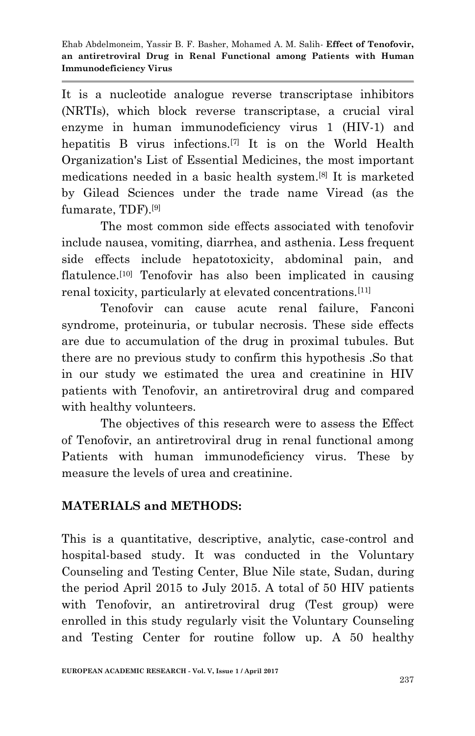It is a nucleotide analogue [reverse transcriptase inhibitors](https://en.wikipedia.org/wiki/Reverse_transcriptase_inhibitor) (NRTIs), which block [reverse transcriptase,](https://en.wikipedia.org/wiki/Reverse_transcriptase) a crucial viral enzyme in [human immunodeficiency virus 1 \(HIV-1\)](https://en.wikipedia.org/wiki/HIV) and [hepatitis B virus](https://en.wikipedia.org/wiki/Hepatitis_B_virus) infections.[\[7\]](https://en.wikipedia.org/wiki/Tenofovir#cite_note-prescribing_info-2) It is on the [World Health](https://en.wikipedia.org/wiki/World_Health_Organization%27s_List_of_Essential_Medicines)  [Organization's List of Essential Medicines,](https://en.wikipedia.org/wiki/World_Health_Organization%27s_List_of_Essential_Medicines) the most important medications needed in a basic [health system.](https://en.wikipedia.org/wiki/Health_system) [\[8\]](https://en.wikipedia.org/wiki/Tenofovir#cite_note-3) It is marketed by [Gilead Sciences](https://en.wikipedia.org/wiki/Gilead_Sciences) under the trade name Viread (as the [fumarate,](https://en.wikipedia.org/wiki/Fumarate) TDF).[\[9\]](https://en.wikipedia.org/wiki/Tenofovir#cite_note-4)

The most common side effects associated with tenofovir include nausea, vomiting, diarrhea, and [asthenia.](https://en.wikipedia.org/wiki/Asthenia) Less frequent side effects include hepatotoxicity, abdominal pain, and flatulence.<sup>[\[10\]](https://en.wikipedia.org/wiki/Tenofovir#cite_note-8)</sup> Tenofovir has also been implicated in causing renal toxicity, particularly at elevated concentrations.[\[11\]](https://en.wikipedia.org/wiki/Tenofovir#cite_note-9)

Tenofovir can cause [acute renal failure,](https://en.wikipedia.org/wiki/Acute_renal_failure) [Fanconi](https://en.wikipedia.org/wiki/Fanconi_syndrome)  [syndrome,](https://en.wikipedia.org/wiki/Fanconi_syndrome) [proteinuria,](https://en.wikipedia.org/wiki/Proteinuria) or [tubular necrosis.](https://en.wikipedia.org/wiki/Tubular_necrosis) These side effects are due to accumulation of the drug in [proximal tubules.](https://en.wikipedia.org/wiki/Proximal_tubule) But there are no previous study to confirm this hypothesis .So that in our study we estimated the urea and creatinine in HIV patients with Tenofovir, an antiretroviral drug and compared with healthy volunteers.

The objectives of this research were to assess the Effect of Tenofovir, an antiretroviral drug in renal functional among Patients with human immunodeficiency virus. These by measure the levels of urea and creatinine.

## **MATERIALS and METHODS:**

This is a quantitative, descriptive, analytic, case-control and hospital-based study. It was conducted in the Voluntary Counseling and Testing Center, Blue Nile state, Sudan, during the period April 2015 to July 2015. A total of 50 HIV patients with Tenofovir, an antiretroviral drug (Test group) were enrolled in this study regularly visit the Voluntary Counseling and Testing Center for routine follow up. A 50 healthy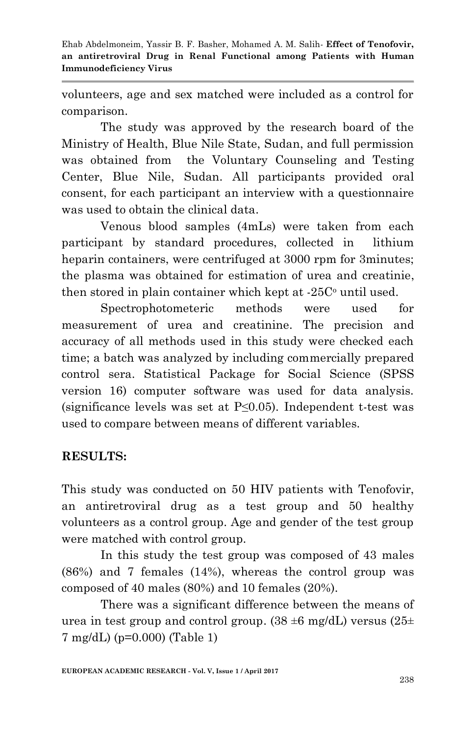volunteers, age and sex matched were included as a control for comparison.

The study was approved by the research board of the Ministry of Health, Blue Nile State, Sudan, and full permission was obtained from the Voluntary Counseling and Testing Center, Blue Nile, Sudan. All participants provided oral consent, for each participant an interview with a questionnaire was used to obtain the clinical data.

Venous blood samples (4mLs) were taken from each participant by standard procedures, collected in lithium heparin containers, were centrifuged at 3000 rpm for 3minutes; the plasma was obtained for estimation of urea and creatinie, then stored in plain container which kept at  $-25C<sup>o</sup>$  until used.

Spectrophotometeric methods were used for measurement of urea and creatinine. The precision and accuracy of all methods used in this study were checked each time; a batch was analyzed by including commercially prepared control sera. Statistical Package for Social Science (SPSS version 16) computer software was used for data analysis. (significance levels was set at P≤0.05). Independent t-test was used to compare between means of different variables.

## **RESULTS:**

This study was conducted on 50 HIV patients with Tenofovir, an antiretroviral drug as a test group and 50 healthy volunteers as a control group. Age and gender of the test group were matched with control group.

In this study the test group was composed of 43 males (86%) and 7 females (14%), whereas the control group was composed of 40 males (80%) and 10 females (20%).

There was a significant difference between the means of urea in test group and control group.  $(38 \pm 6 \text{ mg/dL})$  versus  $(25 \pm 1)$ 7 mg/dL) (p=0.000) (Table 1)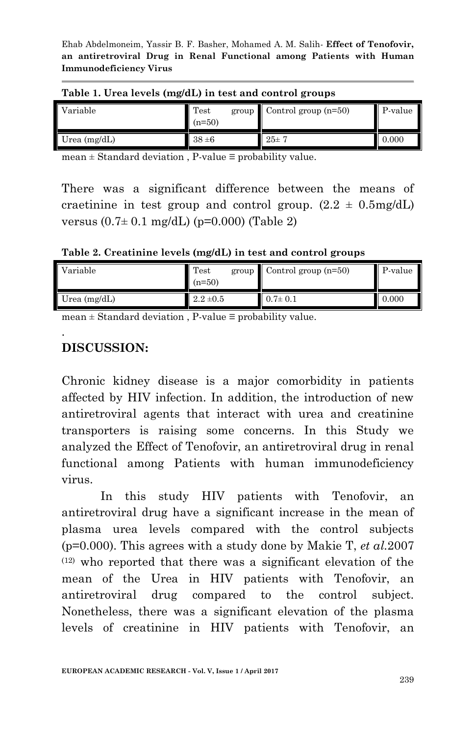| Variable           | Test<br>group<br>$(n=50)$ | Control group $(n=50)$ | P-value |  |  |
|--------------------|---------------------------|------------------------|---------|--|--|
| Urea $\rm (mg/dL)$ | $38 \pm 6$                | $25 \pm 7$             | 0.000   |  |  |

#### **Table 1. Urea levels (mg/dL) in test and control groups**

mean  $\pm$  Standard deviation, P-value  $\equiv$  probability value.

There was a significant difference between the means of craetinine in test group and control group.  $(2.2 \pm 0.5 \text{mg/dL})$ versus  $(0.7 \pm 0.1 \text{ mg/dL})$  (p=0.000) (Table 2)

**Table 2. Creatinine levels (mg/dL) in test and control groups**

| Variable       | Test <sup>1</sup><br>$(n=50)$ | $group$ Control group (n=50) | P-value |
|----------------|-------------------------------|------------------------------|---------|
| Urea $(mg/dL)$ | $2.2 \pm 0.5$                 | $0.7 \pm 0.1$                | 0.000   |

mean ± Standard deviation , P-value ≡ probability value.

## **DISCUSSION:**

.

Chronic kidney disease is a major comorbidity in patients affected by HIV infection. In addition, the introduction of new antiretroviral agents that interact with urea and creatinine transporters is raising some concerns. In this Study we analyzed the Effect of Tenofovir, an antiretroviral drug in renal functional among Patients with human immunodeficiency virus.

In this study HIV patients with Tenofovir, an antiretroviral drug have a significant increase in the mean of plasma urea levels compared with the control subjects (p=0.000). This agrees with a study done by [Makie T,](http://www.ncbi.nlm.nih.gov/pubmed/?term=Makie%20T%5BAuthor%5D&cauthor=true&cauthor_uid=18090876) *et al.*2007  $(12)$  who reported that there was a significant elevation of the mean of the Urea in HIV patients with Tenofovir, an antiretroviral drug compared to the control subject. Nonetheless, there was a significant elevation of the plasma levels of creatinine in HIV patients with Tenofovir, an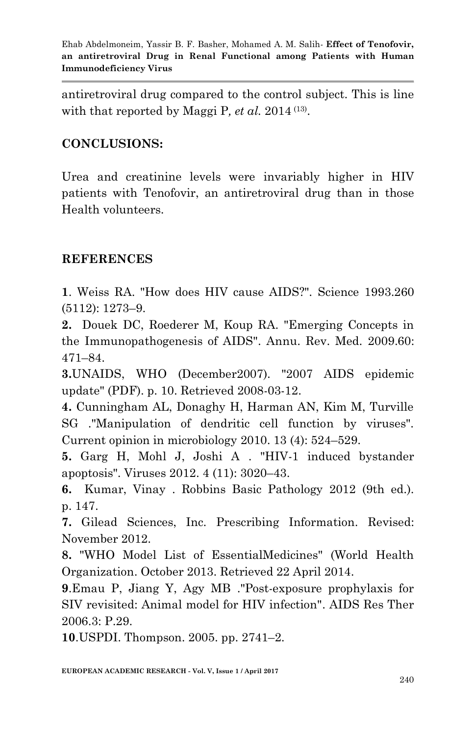antiretroviral drug compared to the control subject. This is line with that reported by [Maggi](http://www.ncbi.nlm.nih.gov/pubmed/?term=Maggi%20P%5BAuthor%5D&cauthor=true&cauthor_uid=25102336) P, et al. 2014<sup>(13)</sup>.

### **CONCLUSIONS:**

Urea and creatinine levels were invariably higher in HIV patients with Tenofovir, an antiretroviral drug than in those Health volunteers.

#### **REFERENCES**

**1**. Weiss RA. "How does HIV cause AIDS?". Science 1993.260 (5112): 1273–9.

**2.** Douek DC, Roederer M, Koup RA. ["Emerging Concepts in](https://www.ncbi.nlm.nih.gov/pmc/articles/PMC2716400)  [the Immunopathogenesis of AIDS".](https://www.ncbi.nlm.nih.gov/pmc/articles/PMC2716400) Annu. Rev. Med. 2009.60: 471–84.

**3.**[UNAIDS,](https://en.wikipedia.org/wiki/Joint_United_Nations_Programme_on_HIV/AIDS) [WHO](https://en.wikipedia.org/wiki/World_Health_Organization) (December2007). ["2007 AIDS epidemic](http://data.unaids.org/pub/EPISlides/2007/2007_epiupdate_en.pdf)  [update"](http://data.unaids.org/pub/EPISlides/2007/2007_epiupdate_en.pdf) (PDF). p. 10. Retrieved 2008-03-12.

**4.** Cunningham AL, Donaghy H, Harman AN, Kim M, Turville SG ."Manipulation of dendritic cell function by viruses". Current opinion in microbiology 2010. 13 (4): 524–529.

**5.** Garg H, Mohl J, Joshi A . ["HIV-1 induced bystander](https://www.ncbi.nlm.nih.gov/pmc/articles/PMC3509682)  [apoptosis".](https://www.ncbi.nlm.nih.gov/pmc/articles/PMC3509682) Viruses 2012. 4 (11): 3020–43.

**6.** Kumar, Vinay . [Robbins Basic Pathology](https://books.google.com/books?id=jheBzf17C7YC&pg=PA147) 2012 (9th ed.). p. 147.

**7.** Gilead Sciences, Inc. [Prescribing Information.](http://www.gilead.com/pdf/viread_pi.pdf) Revised: November 2012.

**8.** ["WHO Model List of EssentialMedicines"](http://apps.who.int/iris/bitstream/10665/93142/1/EML_18_eng.pdf?ua=1) (World Health Organization. October 2013. Retrieved 22 April 2014.

**9**.Emau P, Jiang Y, Agy MB [."Post-exposure prophylaxis for](https://www.ncbi.nlm.nih.gov/pmc/articles/PMC1687192)  [SIV revisited: Animal model for HIV infection".](https://www.ncbi.nlm.nih.gov/pmc/articles/PMC1687192) AIDS Res Ther 2006.3: P.29.

**10**.USPDI. Thompson. 2005. pp. 2741–2.